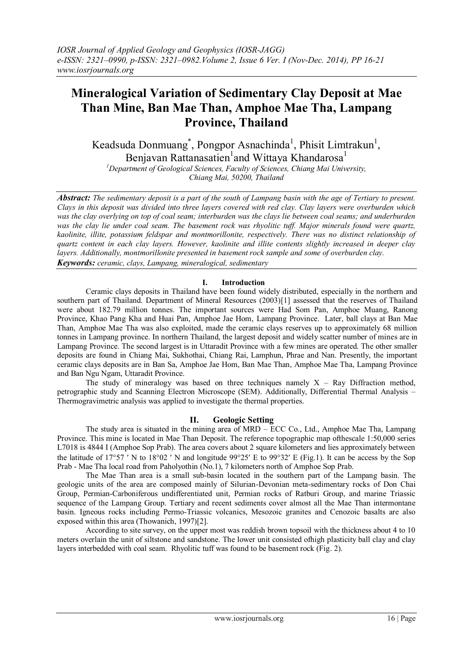# **Mineralogical Variation of Sedimentary Clay Deposit at Mae Than Mine, Ban Mae Than, Amphoe Mae Tha, Lampang Province, Thailand**

Keadsuda Donmuang<sup>\*</sup>, Pongpor Asnachinda<sup>1</sup>, Phisit Limtrakun<sup>1</sup>, Benjavan Rattanasatien<sup>1</sup>and Wittaya Khandarosa<sup>1</sup>

*<sup>1</sup>Department of Geological Sciences, Faculty of Sciences, Chiang Mai University, Chiang Mai, 50200, Thailand*

*Abstract: The sedimentary deposit is a part of the south of Lampang basin with the age of Tertiary to present. Clays in this deposit was divided into three layers covered with red clay. Clay layers were overburden which was the clay overlying on top of coal seam; interburden was the clays lie between coal seams; and underburden was the clay lie under coal seam. The basement rock was rhyolitic tuff. Major minerals found were quartz, kaolinite, illite, potassium feldspar and montmorillonite, respectively. There was no distinct relationship of quartz content in each clay layers. However, kaolinite and illite contents slightly increased in deeper clay layers. Additionally, montmorillonite presented in basement rock sample and some of overburden clay. Keywords: ceramic, clays, Lampang, mineralogical, sedimentary*

## **I. Introduction**

Ceramic clays deposits in Thailand have been found widely distributed, especially in the northern and southern part of Thailand. Department of Mineral Resources (2003)[1] assessed that the reserves of Thailand were about 182.79 million tonnes. The important sources were Had Som Pan, Amphoe Muang, Ranong Province, Khao Pang Kha and Huai Pan, Amphoe Jae Hom, Lampang Province. Later, ball clays at Ban Mae Than, Amphoe Mae Tha was also exploited, made the ceramic clays reserves up to approximately 68 million tonnes in Lampang province. In northern Thailand, the largest deposit and widely scatter number of mines are in Lampang Province. The second largest is in Uttaradit Province with a few mines are operated. The other smaller deposits are found in Chiang Mai, Sukhothai, Chiang Rai, Lamphun, Phrae and Nan. Presently, the important ceramic clays deposits are in Ban Sa, Amphoe Jae Hom, Ban Mae Than, Amphoe Mae Tha, Lampang Province and Ban Ngu Ngam, Uttaradit Province.

The study of mineralogy was based on three techniques namely  $X - Ray$  Diffraction method, petrographic study and Scanning Electron Microscope (SEM). Additionally, Differential Thermal Analysis – Thermogravimetric analysis was applied to investigate the thermal properties.

## **II. Geologic Setting**

The study area is situated in the mining area of MRD – ECC Co., Ltd., Amphoe Mae Tha, Lampang Province. This mine is located in Mae Than Deposit. The reference topographic map ofthescale 1:50,000 series L7018 is 4844 I (Amphoe Sop Prab). The area covers about 2 square kilometers and lies approximately between the latitude of 17°57' N to 18°02' N and longitude  $99^{\circ}25'$  E to  $99^{\circ}32'$  E (Fig.1). It can be access by the Sop Prab - Mae Tha local road from Paholyothin (No.1), 7 kilometers north of Amphoe Sop Prab.

The Mae Than area is a small sub-basin located in the southern part of the Lampang basin. The geologic units of the area are composed mainly of Silurian-Devonian meta-sedimentary rocks of Don Chai Group, Permian-Carboniferous undifferentiated unit, Permian rocks of Ratburi Group, and marine Triassic sequence of the Lampang Group. Tertiary and recent sediments cover almost all the Mae Than intermontane basin. Igneous rocks including Permo-Triassic volcanics, Mesozoic granites and Cenozoic basalts are also exposed within this area (Thowanich, 1997)[2].

According to site survey, on the upper most was reddish brown topsoil with the thickness about 4 to 10 meters overlain the unit of siltstone and sandstone. The lower unit consisted ofhigh plasticity ball clay and clay layers interbedded with coal seam. Rhyolitic tuff was found to be basement rock (Fig. 2).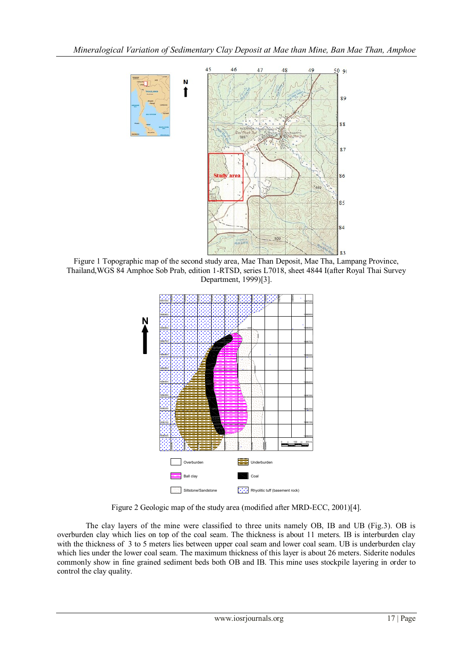

Figure 1 Topographic map of the second study area, Mae Than Deposit, Mae Tha, Lampang Province, Thailand,WGS 84 Amphoe Sob Prab, edition 1-RTSD, series L7018, sheet 4844 I(after Royal Thai Survey Department, 1999)[3].



Figure 2 Geologic map of the study area (modified after MRD-ECC, 2001)[4].

The clay layers of the mine were classified to three units namely OB, IB and UB (Fig.3). OB is overburden clay which lies on top of the coal seam. The thickness is about 11 meters. IB is interburden clay with the thickness of 3 to 5 meters lies between upper coal seam and lower coal seam. UB is underburden clay which lies under the lower coal seam. The maximum thickness of this layer is about 26 meters. Siderite nodules commonly show in fine grained sediment beds both OB and IB. This mine uses stockpile layering in order to control the clay quality.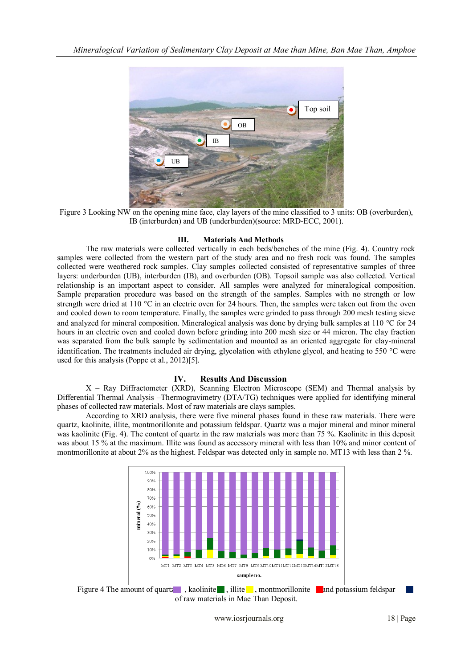

Figure 3 Looking NW on the opening mine face, clay layers of the mine classified to 3 units: OB (overburden), IB (interburden) and UB (underburden)(source: MRD-ECC, 2001).

## **III. Materials And Methods**

The raw materials were collected vertically in each beds/benches of the mine (Fig. 4). Country rock samples were collected from the western part of the study area and no fresh rock was found. The samples collected were weathered rock samples. Clay samples collected consisted of representative samples of three layers: underburden (UB), interburden (IB), and overburden (OB). Topsoil sample was also collected. Vertical relationship is an important aspect to consider. All samples were analyzed for mineralogical composition. Sample preparation procedure was based on the strength of the samples. Samples with no strength or low strength were dried at 110  $^{\circ}$ C in an electric oven for 24 hours. Then, the samples were taken out from the oven and cooled down to room temperature. Finally, the samples were grinded to pass through 200 mesh testing sieve and analyzed for mineral composition. Mineralogical analysis was done by drying bulk samples at 110  $^{\circ}$ C for 24 hours in an electric oven and cooled down before grinding into 200 mesh size or 44 micron. The clay fraction was separated from the bulk sample by sedimentation and mounted as an oriented aggregate for clay-mineral identification. The treatments included air drying, glycolation with ethylene glycol, and heating to 550  $^{\circ}$ C were used for this analysis (Poppe et al., 2012)[5].

## **IV. Results And Discussion**

X – Ray Diffractometer (XRD), Scanning Electron Microscope (SEM) and Thermal analysis by Differential Thermal Analysis –Thermogravimetry (DTA/TG) techniques were applied for identifying mineral phases of collected raw materials. Most of raw materials are clays samples.

According to XRD analysis, there were five mineral phases found in these raw materials. There were quartz, kaolinite, illite, montmorillonite and potassium feldspar. Quartz was a major mineral and minor mineral was kaolinite (Fig. 4). The content of quartz in the raw materials was more than 75 %. Kaolinite in this deposit was about 15 % at the maximum. Illite was found as accessory mineral with less than 10% and minor content of montmorillonite at about 2% as the highest. Feldspar was detected only in sample no. MT13 with less than 2 %.

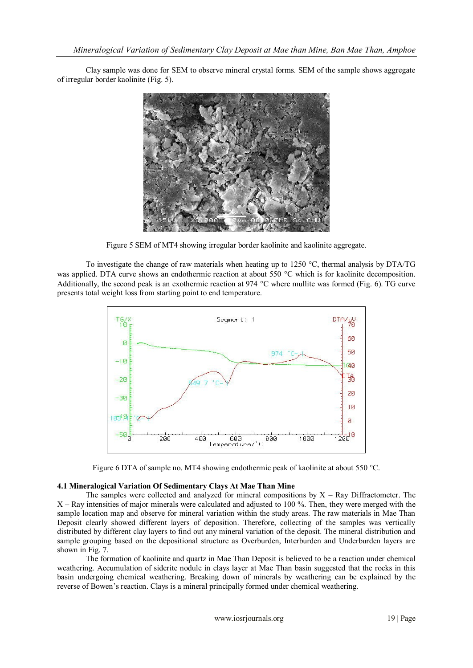Clay sample was done for SEM to observe mineral crystal forms. SEM of the sample shows aggregate of irregular border kaolinite (Fig. 5).



Figure 5 SEM of MT4 showing irregular border kaolinite and kaolinite aggregate.

To investigate the change of raw materials when heating up to  $1250 \degree C$ , thermal analysis by DTA/TG was applied. DTA curve shows an endothermic reaction at about 550 °C which is for kaolinite decomposition. Additionally, the second peak is an exothermic reaction at 974  $^{\circ}$ C where mullite was formed (Fig. 6). TG curve presents total weight loss from starting point to end temperature.





## **4.1 Mineralogical Variation Of Sedimentary Clays At Mae Than Mine**

The samples were collected and analyzed for mineral compositions by  $X - Ray$  Diffractometer. The X – Ray intensities of major minerals were calculated and adjusted to 100 %. Then, they were merged with the sample location map and observe for mineral variation within the study areas. The raw materials in Mae Than Deposit clearly showed different layers of deposition. Therefore, collecting of the samples was vertically distributed by different clay layers to find out any mineral variation of the deposit. The mineral distribution and sample grouping based on the depositional structure as Overburden, Interburden and Underburden layers are shown in Fig. 7.

The formation of kaolinite and quartz in Mae Than Deposit is believed to be a reaction under chemical weathering. Accumulation of siderite nodule in clays layer at Mae Than basin suggested that the rocks in this basin undergoing chemical weathering. Breaking down of minerals by weathering can be explained by the reverse of Bowen's reaction. Clays is a mineral principally formed under chemical weathering.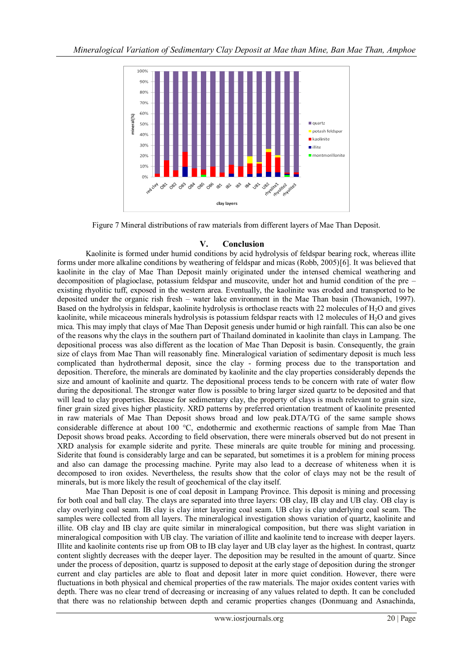

Figure 7 Mineral distributions of raw materials from different layers of Mae Than Deposit.

## **V. Conclusion**

Kaolinite is formed under humid conditions by acid hydrolysis of feldspar bearing rock, whereas illite forms under more alkaline conditions by weathering of feldspar and micas (Robb, 2005)[6]. It was believed that kaolinite in the clay of Mae Than Deposit mainly originated under the intensed chemical weathering and decomposition of plagioclase, potassium feldspar and muscovite, under hot and humid condition of the pre – existing rhyolitic tuff, exposed in the western area. Eventually, the kaolinite was eroded and transported to be deposited under the organic rish fresh – water lake environment in the Mae Than basin (Thowanich, 1997). Based on the hydrolysis in feldspar, kaolinite hydrolysis is orthoclase reacts with 22 molecules of H2O and gives kaolinite, while micaceous minerals hydrolysis is potassium feldspar reacts with 12 molecules of H<sub>2</sub>O and gives mica. This may imply that clays of Mae Than Deposit genesis under humid or high rainfall. This can also be one of the reasons why the clays in the southern part of Thailand dominated in kaolinite than clays in Lampang. The depositional process was also different as the location of Mae Than Deposit is basin. Consequently, the grain size of clays from Mae Than will reasonably fine. Mineralogical variation of sedimentary deposit is much less complicated than hydrothermal deposit, since the clay - forming process due to the transportation and deposition. Therefore, the minerals are dominated by kaolinite and the clay properties considerably depends the size and amount of kaolinite and quartz. The depositional process tends to be concern with rate of water flow during the depositional. The stronger water flow is possible to bring larger sized quartz to be deposited and that will lead to clay properties. Because for sedimentary clay, the property of clays is much relevant to grain size, finer grain sized gives higher plasticity. XRD patterns by preferred orientation treatment of kaolinite presented in raw materials of Mae Than Deposit shows broad and low peak.DTA/TG of the same sample shows considerable difference at about 100  $\degree$ C, endothermic and exothermic reactions of sample from Mae Than Deposit shows broad peaks. According to field observation, there were minerals observed but do not present in XRD analysis for example siderite and pyrite. These minerals are quite trouble for mining and processing. Siderite that found is considerably large and can be separated, but sometimes it is a problem for mining process and also can damage the processing machine. Pyrite may also lead to a decrease of whiteness when it is decomposed to iron oxides. Nevertheless, the results show that the color of clays may not be the result of minerals, but is more likely the result of geochemical of the clay itself.

Mae Than Deposit is one of coal deposit in Lampang Province. This deposit is mining and processing for both coal and ball clay. The clays are separated into three layers: OB clay, IB clay and UB clay. OB clay is clay overlying coal seam. IB clay is clay inter layering coal seam. UB clay is clay underlying coal seam. The samples were collected from all layers. The mineralogical investigation shows variation of quartz, kaolinite and illite. OB clay and IB clay are quite similar in mineralogical composition, but there was slight variation in mineralogical composition with UB clay. The variation of illite and kaolinite tend to increase with deeper layers. Illite and kaolinite contents rise up from OB to IB clay layer and UB clay layer as the highest. In contrast, quartz content slightly decreases with the deeper layer. The deposition may be resulted in the amount of quartz. Since under the process of deposition, quartz is supposed to deposit at the early stage of deposition during the stronger current and clay particles are able to float and deposit later in more quiet condition. However, there were fluctuations in both physical and chemical properties of the raw materials. The major oxides content varies with depth. There was no clear trend of decreasing or increasing of any values related to depth. It can be concluded that there was no relationship between depth and ceramic properties changes (Donmuang and Asnachinda,